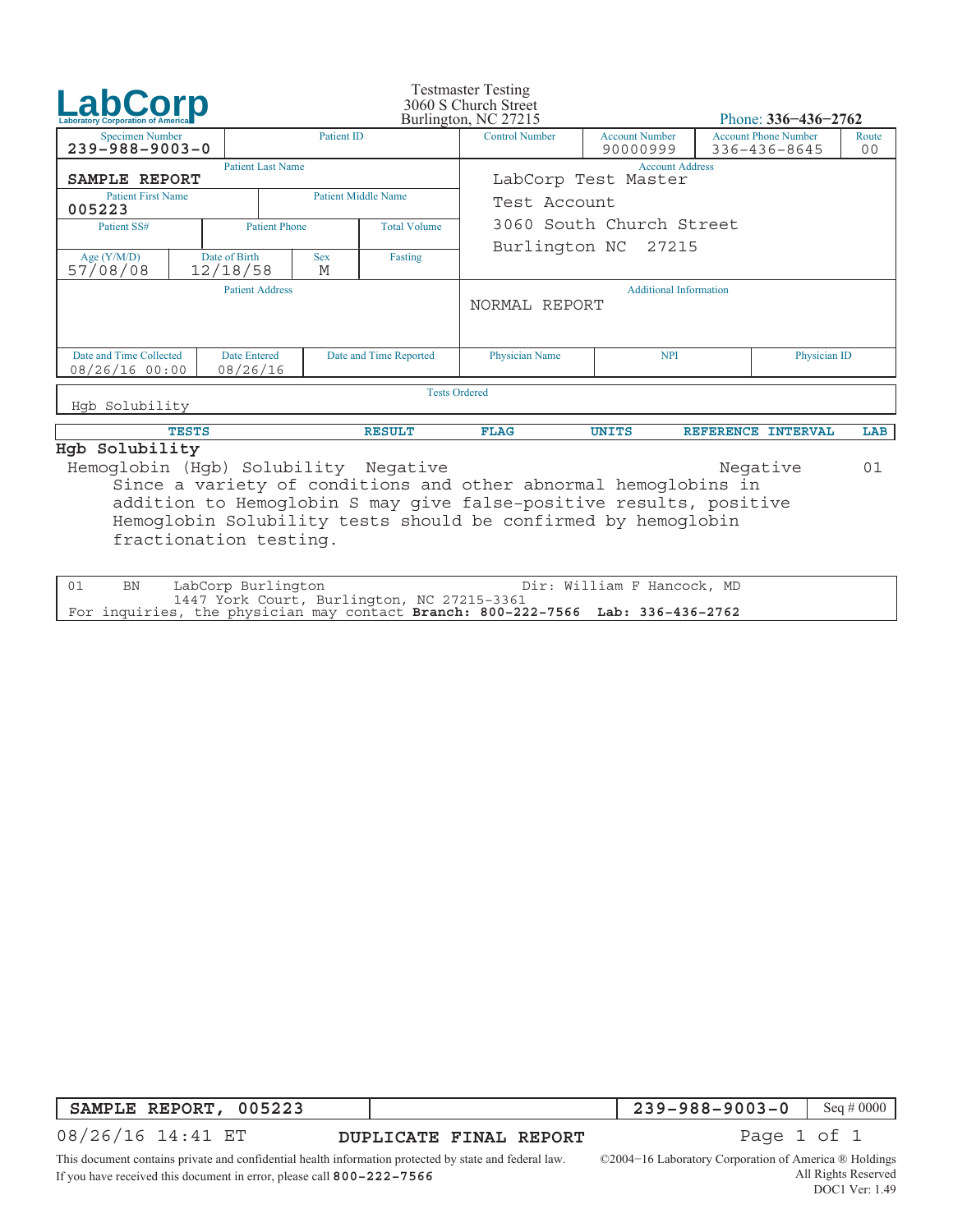| LabCorp                                                                                                                                                                                                                                                                            |  |  |                                             |                        |                            | <b>Testmaster Testing</b><br>3060 S Church Street<br>Burlington, NC 27215 |                                   |              | Phone: $336 - 436 - 2762$                   |                         |  |  |
|------------------------------------------------------------------------------------------------------------------------------------------------------------------------------------------------------------------------------------------------------------------------------------|--|--|---------------------------------------------|------------------------|----------------------------|---------------------------------------------------------------------------|-----------------------------------|--------------|---------------------------------------------|-------------------------|--|--|
| <b>Specimen Number</b><br>$239 - 988 - 9003 - 0$                                                                                                                                                                                                                                   |  |  |                                             | Patient ID             |                            | <b>Control Number</b>                                                     | <b>Account Number</b><br>90000999 |              | <b>Account Phone Number</b><br>336-436-8645 | Route<br>0 <sub>0</sub> |  |  |
| <b>Patient Last Name</b><br>SAMPLE REPORT                                                                                                                                                                                                                                          |  |  |                                             |                        |                            | <b>Account Address</b><br>LabCorp Test Master                             |                                   |              |                                             |                         |  |  |
| <b>Patient First Name</b><br>005223                                                                                                                                                                                                                                                |  |  |                                             |                        | <b>Patient Middle Name</b> | Test Account                                                              |                                   |              |                                             |                         |  |  |
| Patient SS#                                                                                                                                                                                                                                                                        |  |  | <b>Total Volume</b><br><b>Patient Phone</b> |                        |                            | 3060 South Church Street                                                  |                                   |              |                                             |                         |  |  |
| Date of Birth<br>Age $(Y/M/D)$<br>57/08/08<br>12/18/58                                                                                                                                                                                                                             |  |  |                                             | <b>Sex</b><br>M        | Fasting                    |                                                                           | Burlington NC 27215               |              |                                             |                         |  |  |
| <b>Patient Address</b>                                                                                                                                                                                                                                                             |  |  |                                             |                        |                            | <b>Additional Information</b><br>NORMAL REPORT                            |                                   |              |                                             |                         |  |  |
| Date and Time Collected<br><b>Date Entered</b><br>08/26/16 00:00<br>08/26/16                                                                                                                                                                                                       |  |  |                                             | Date and Time Reported | Physician Name             | <b>NPI</b>                                                                |                                   | Physician ID |                                             |                         |  |  |
| <b>Tests Ordered</b>                                                                                                                                                                                                                                                               |  |  |                                             |                        |                            |                                                                           |                                   |              |                                             |                         |  |  |
| Hqb Solubility                                                                                                                                                                                                                                                                     |  |  |                                             |                        |                            |                                                                           |                                   |              |                                             |                         |  |  |
| <b>TESTS</b>                                                                                                                                                                                                                                                                       |  |  |                                             |                        | <b>RESULT</b>              | <b>FLAG</b>                                                               | <b>UNITS</b>                      |              | REFERENCE INTERVAL                          | LAB                     |  |  |
| Hgb Solubility<br>Hemoglobin (Hqb) Solubility Negative<br>Negative<br>01<br>Since a variety of conditions and other abnormal hemoglobins in<br>addition to Hemoglobin S may give false-positive results, positive<br>Hemoglobin Solubility tests should be confirmed by hemoglobin |  |  |                                             |                        |                            |                                                                           |                                   |              |                                             |                         |  |  |

fractionation testing.

| BN | Dir: William F Hancock, MD<br>LabCorp Burlington                                                                                |  |
|----|---------------------------------------------------------------------------------------------------------------------------------|--|
|    | 1447 York Court, Burlington, NC 27215-3361<br>  For inquiries, the physician may contact Branch: 800-222-7566 Lab: 336-436-2762 |  |
|    |                                                                                                                                 |  |

**SAMPLE REPORT, 005223**

**DUPLICATE FINAL REPORT** 

239−988−9003−0 Seq#0000<br>Page 1 of 1

08/26/16 14:41 ET

This document contains private and confidential health information protected by state and federal law. If you have received this document in error, please call **800−222−7566**

©2004−16 Laboratory Corporation of America ® Holdings All Rights Reserved

DOC1 Ver: 1.49